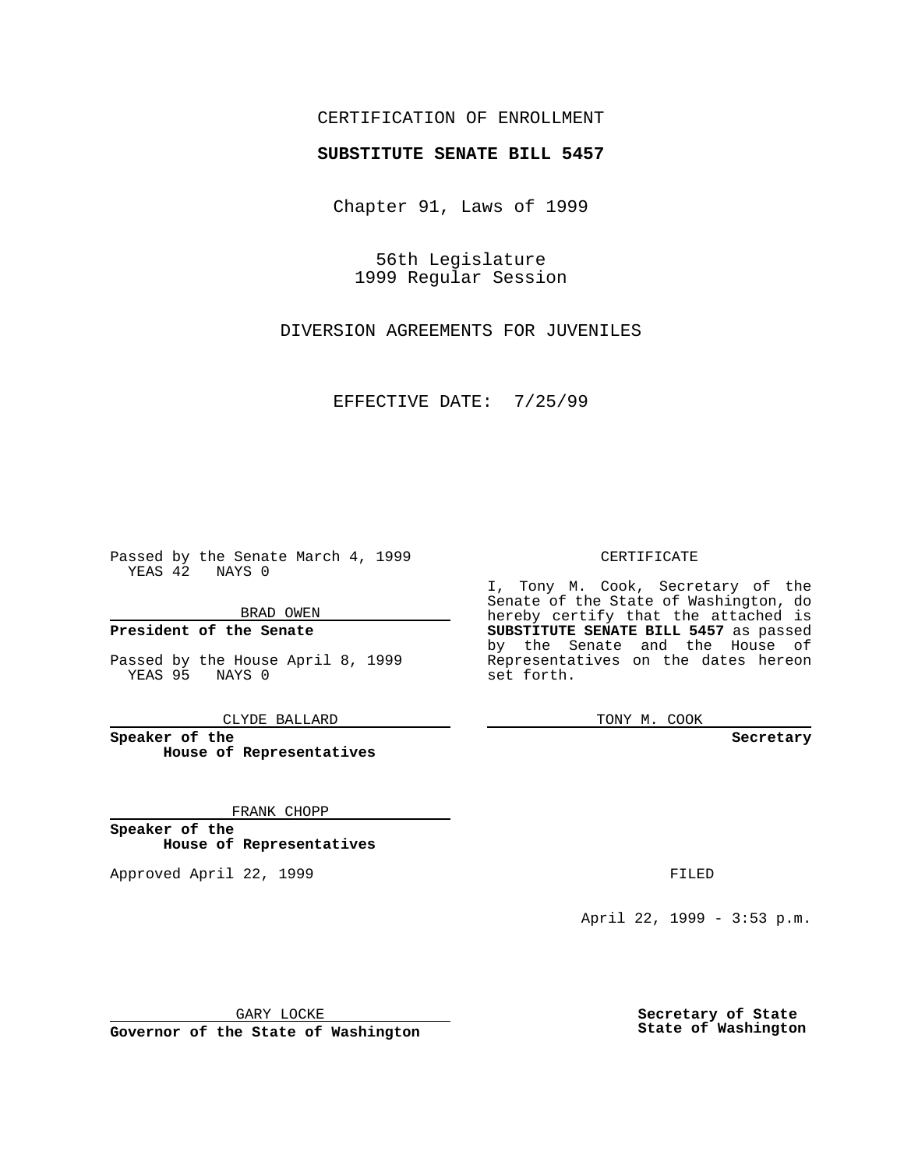### CERTIFICATION OF ENROLLMENT

# **SUBSTITUTE SENATE BILL 5457**

Chapter 91, Laws of 1999

56th Legislature 1999 Regular Session

DIVERSION AGREEMENTS FOR JUVENILES

EFFECTIVE DATE: 7/25/99

Passed by the Senate March 4, 1999 YEAS 42 NAYS 0

BRAD OWEN

**President of the Senate**

Passed by the House April 8, 1999 YEAS 95 NAYS 0

CLYDE BALLARD

**Speaker of the House of Representatives**

FRANK CHOPP

**Speaker of the House of Representatives**

Approved April 22, 1999 **FILED** 

### CERTIFICATE

I, Tony M. Cook, Secretary of the Senate of the State of Washington, do hereby certify that the attached is **SUBSTITUTE SENATE BILL 5457** as passed by the Senate and the House of Representatives on the dates hereon set forth.

TONY M. COOK

**Secretary**

April 22, 1999 - 3:53 p.m.

GARY LOCKE

**Governor of the State of Washington**

**Secretary of State State of Washington**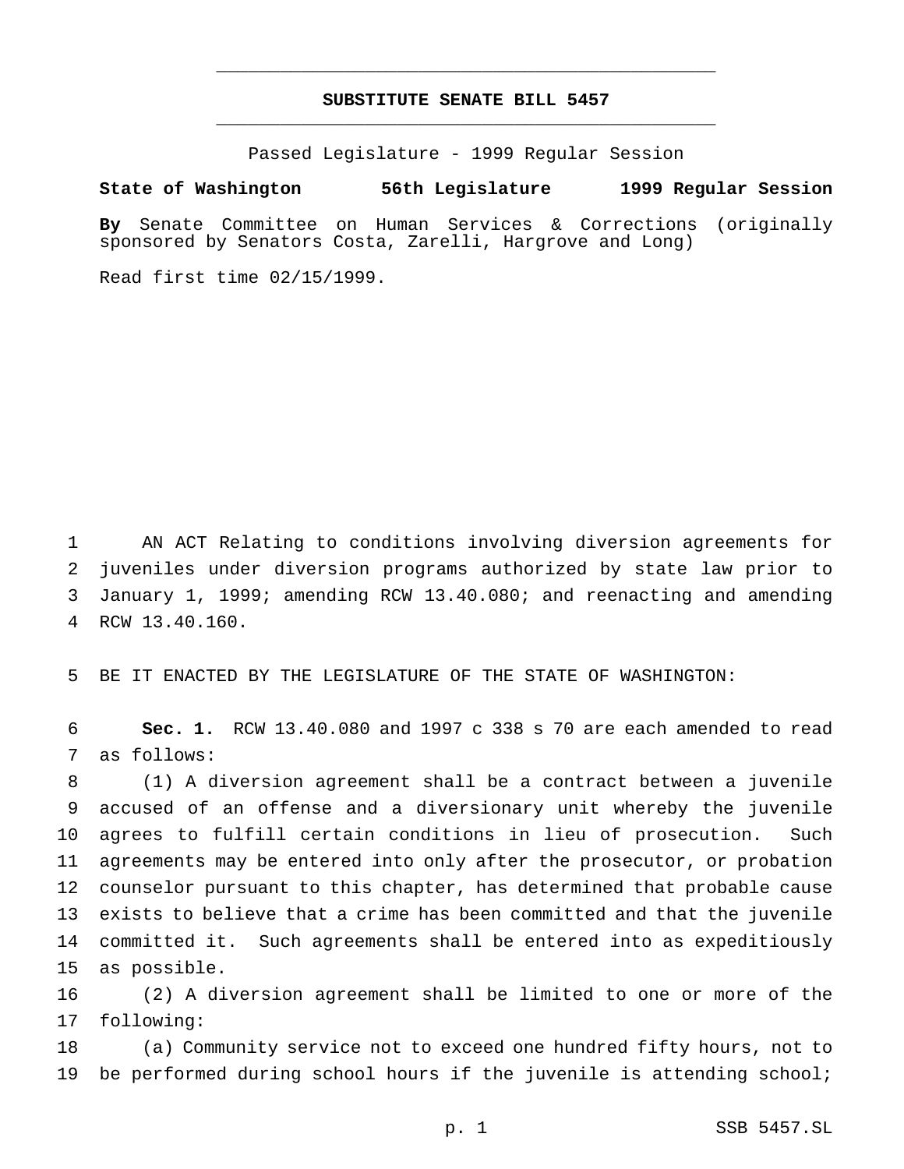## **SUBSTITUTE SENATE BILL 5457** \_\_\_\_\_\_\_\_\_\_\_\_\_\_\_\_\_\_\_\_\_\_\_\_\_\_\_\_\_\_\_\_\_\_\_\_\_\_\_\_\_\_\_\_\_\_\_

\_\_\_\_\_\_\_\_\_\_\_\_\_\_\_\_\_\_\_\_\_\_\_\_\_\_\_\_\_\_\_\_\_\_\_\_\_\_\_\_\_\_\_\_\_\_\_

Passed Legislature - 1999 Regular Session

#### **State of Washington 56th Legislature 1999 Regular Session**

**By** Senate Committee on Human Services & Corrections (originally sponsored by Senators Costa, Zarelli, Hargrove and Long)

Read first time 02/15/1999.

 AN ACT Relating to conditions involving diversion agreements for juveniles under diversion programs authorized by state law prior to January 1, 1999; amending RCW 13.40.080; and reenacting and amending RCW 13.40.160.

BE IT ENACTED BY THE LEGISLATURE OF THE STATE OF WASHINGTON:

 **Sec. 1.** RCW 13.40.080 and 1997 c 338 s 70 are each amended to read as follows:

 (1) A diversion agreement shall be a contract between a juvenile accused of an offense and a diversionary unit whereby the juvenile agrees to fulfill certain conditions in lieu of prosecution. Such agreements may be entered into only after the prosecutor, or probation counselor pursuant to this chapter, has determined that probable cause exists to believe that a crime has been committed and that the juvenile committed it. Such agreements shall be entered into as expeditiously as possible.

 (2) A diversion agreement shall be limited to one or more of the following:

 (a) Community service not to exceed one hundred fifty hours, not to be performed during school hours if the juvenile is attending school;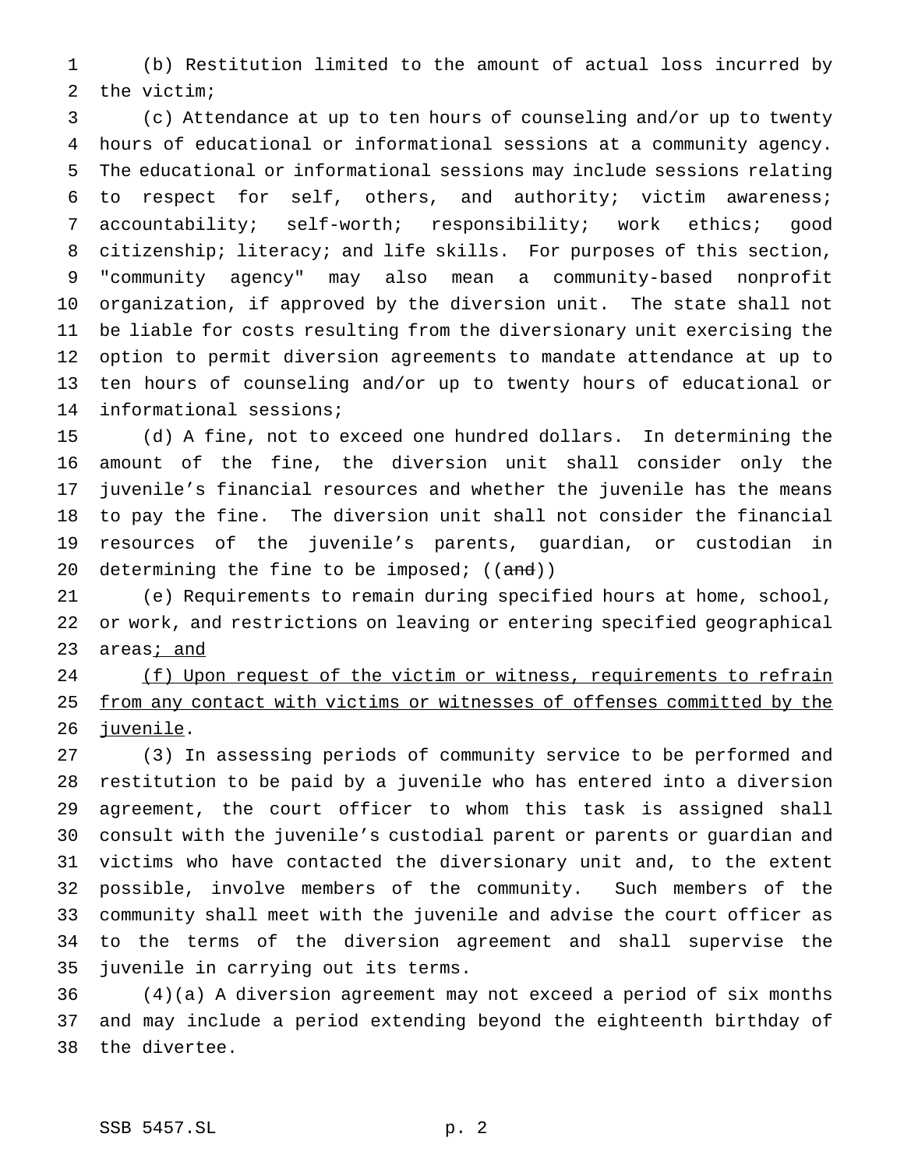(b) Restitution limited to the amount of actual loss incurred by the victim;

 (c) Attendance at up to ten hours of counseling and/or up to twenty hours of educational or informational sessions at a community agency. The educational or informational sessions may include sessions relating to respect for self, others, and authority; victim awareness; accountability; self-worth; responsibility; work ethics; good citizenship; literacy; and life skills. For purposes of this section, "community agency" may also mean a community-based nonprofit organization, if approved by the diversion unit. The state shall not be liable for costs resulting from the diversionary unit exercising the option to permit diversion agreements to mandate attendance at up to ten hours of counseling and/or up to twenty hours of educational or informational sessions;

 (d) A fine, not to exceed one hundred dollars. In determining the amount of the fine, the diversion unit shall consider only the juvenile's financial resources and whether the juvenile has the means to pay the fine. The diversion unit shall not consider the financial resources of the juvenile's parents, guardian, or custodian in 20 determining the fine to be imposed;  $((and))$ 

 (e) Requirements to remain during specified hours at home, school, or work, and restrictions on leaving or entering specified geographical 23 areas; and

24 (f) Upon request of the victim or witness, requirements to refrain 25 from any contact with victims or witnesses of offenses committed by the juvenile.

 (3) In assessing periods of community service to be performed and restitution to be paid by a juvenile who has entered into a diversion agreement, the court officer to whom this task is assigned shall consult with the juvenile's custodial parent or parents or guardian and victims who have contacted the diversionary unit and, to the extent possible, involve members of the community. Such members of the community shall meet with the juvenile and advise the court officer as to the terms of the diversion agreement and shall supervise the juvenile in carrying out its terms.

 (4)(a) A diversion agreement may not exceed a period of six months and may include a period extending beyond the eighteenth birthday of the divertee.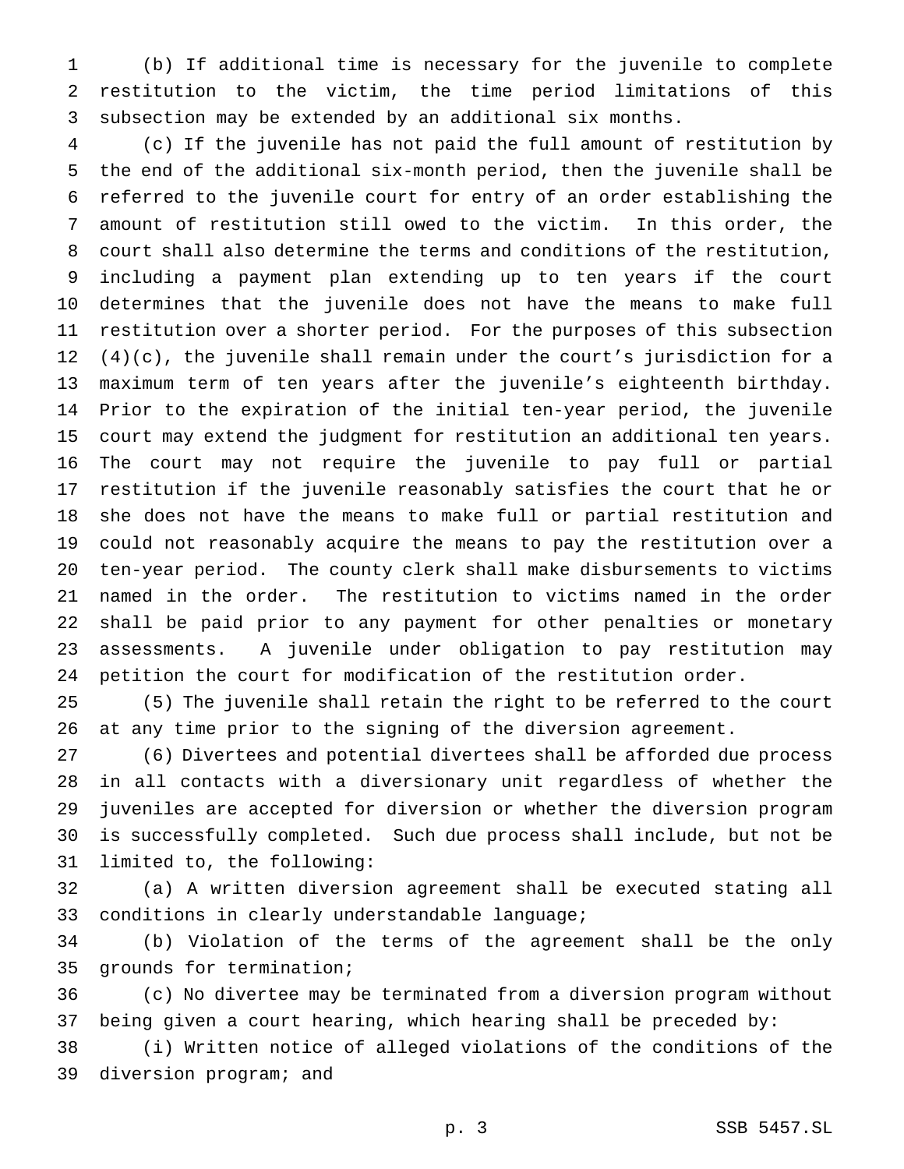(b) If additional time is necessary for the juvenile to complete restitution to the victim, the time period limitations of this subsection may be extended by an additional six months.

 (c) If the juvenile has not paid the full amount of restitution by the end of the additional six-month period, then the juvenile shall be referred to the juvenile court for entry of an order establishing the amount of restitution still owed to the victim. In this order, the court shall also determine the terms and conditions of the restitution, including a payment plan extending up to ten years if the court determines that the juvenile does not have the means to make full restitution over a shorter period. For the purposes of this subsection  $(4)(c)$ , the juvenile shall remain under the court's jurisdiction for a maximum term of ten years after the juvenile's eighteenth birthday. Prior to the expiration of the initial ten-year period, the juvenile court may extend the judgment for restitution an additional ten years. The court may not require the juvenile to pay full or partial restitution if the juvenile reasonably satisfies the court that he or she does not have the means to make full or partial restitution and could not reasonably acquire the means to pay the restitution over a ten-year period. The county clerk shall make disbursements to victims named in the order. The restitution to victims named in the order shall be paid prior to any payment for other penalties or monetary assessments. A juvenile under obligation to pay restitution may petition the court for modification of the restitution order.

 (5) The juvenile shall retain the right to be referred to the court at any time prior to the signing of the diversion agreement.

 (6) Divertees and potential divertees shall be afforded due process in all contacts with a diversionary unit regardless of whether the juveniles are accepted for diversion or whether the diversion program is successfully completed. Such due process shall include, but not be limited to, the following:

 (a) A written diversion agreement shall be executed stating all conditions in clearly understandable language;

 (b) Violation of the terms of the agreement shall be the only grounds for termination;

 (c) No divertee may be terminated from a diversion program without being given a court hearing, which hearing shall be preceded by:

 (i) Written notice of alleged violations of the conditions of the diversion program; and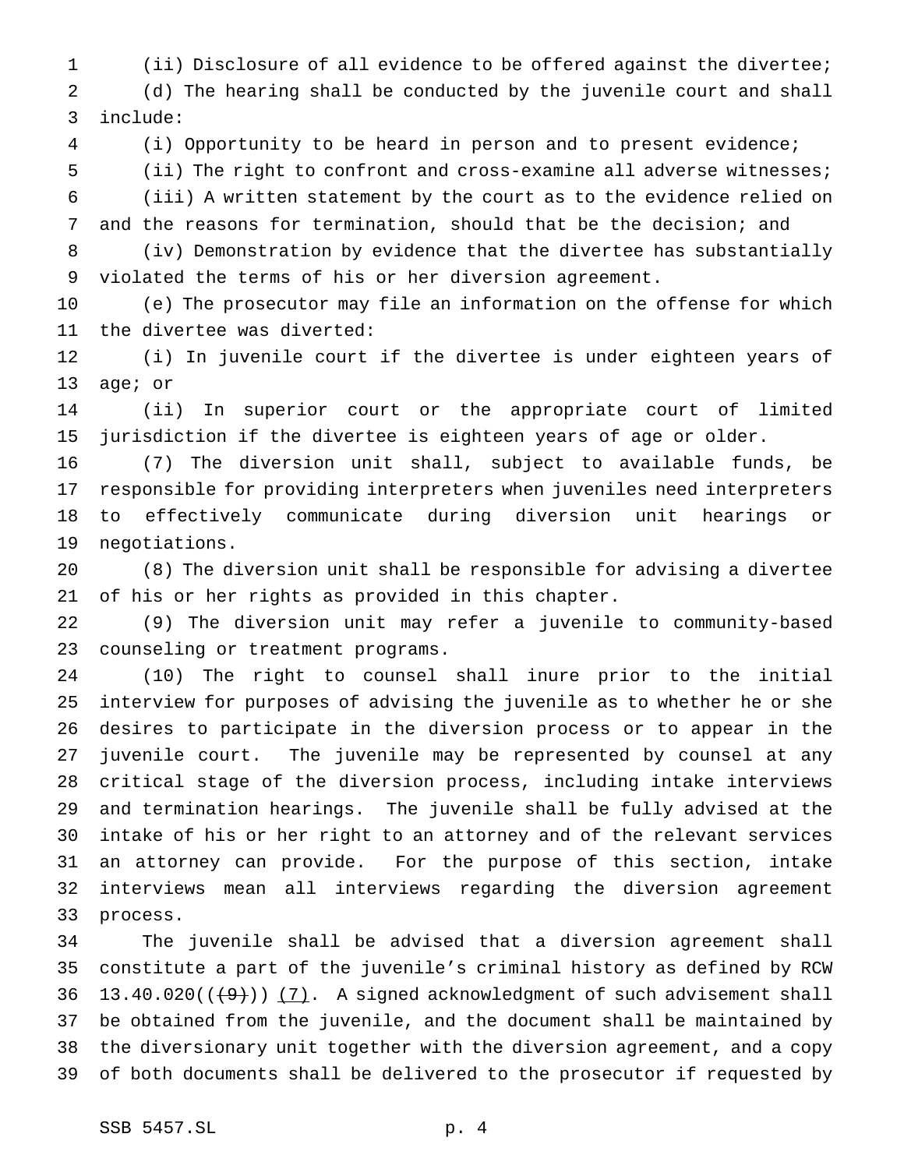(ii) Disclosure of all evidence to be offered against the divertee; (d) The hearing shall be conducted by the juvenile court and shall include:

(i) Opportunity to be heard in person and to present evidence;

(ii) The right to confront and cross-examine all adverse witnesses;

 (iii) A written statement by the court as to the evidence relied on and the reasons for termination, should that be the decision; and

 (iv) Demonstration by evidence that the divertee has substantially violated the terms of his or her diversion agreement.

 (e) The prosecutor may file an information on the offense for which the divertee was diverted:

 (i) In juvenile court if the divertee is under eighteen years of age; or

 (ii) In superior court or the appropriate court of limited jurisdiction if the divertee is eighteen years of age or older.

 (7) The diversion unit shall, subject to available funds, be responsible for providing interpreters when juveniles need interpreters to effectively communicate during diversion unit hearings or negotiations.

 (8) The diversion unit shall be responsible for advising a divertee of his or her rights as provided in this chapter.

 (9) The diversion unit may refer a juvenile to community-based counseling or treatment programs.

 (10) The right to counsel shall inure prior to the initial interview for purposes of advising the juvenile as to whether he or she desires to participate in the diversion process or to appear in the juvenile court. The juvenile may be represented by counsel at any critical stage of the diversion process, including intake interviews and termination hearings. The juvenile shall be fully advised at the intake of his or her right to an attorney and of the relevant services an attorney can provide. For the purpose of this section, intake interviews mean all interviews regarding the diversion agreement process.

 The juvenile shall be advised that a diversion agreement shall constitute a part of the juvenile's criminal history as defined by RCW 36 13.40.020( $(\frac{9}{1})$ ,  $(7)$ . A signed acknowledgment of such advisement shall be obtained from the juvenile, and the document shall be maintained by the diversionary unit together with the diversion agreement, and a copy of both documents shall be delivered to the prosecutor if requested by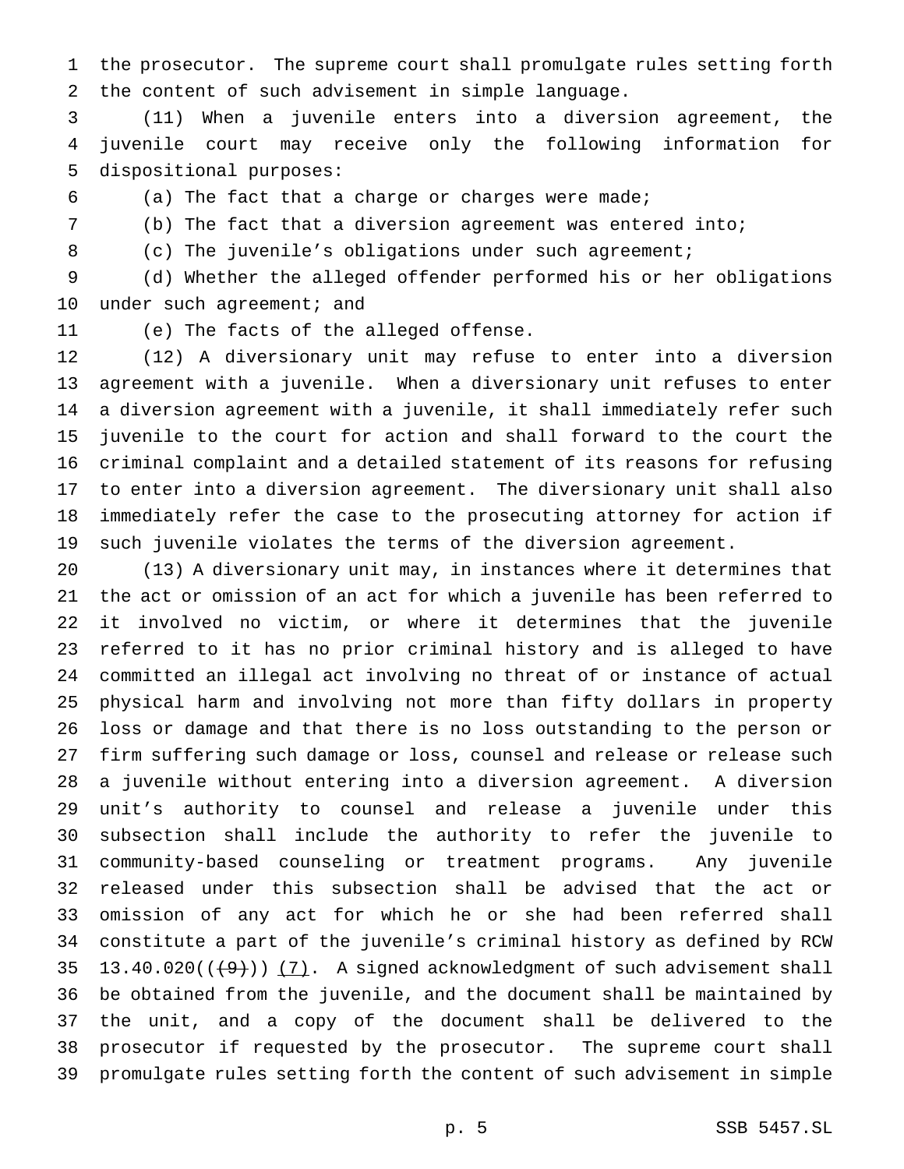the prosecutor. The supreme court shall promulgate rules setting forth the content of such advisement in simple language.

 (11) When a juvenile enters into a diversion agreement, the juvenile court may receive only the following information for dispositional purposes:

(a) The fact that a charge or charges were made;

(b) The fact that a diversion agreement was entered into;

(c) The juvenile's obligations under such agreement;

 (d) Whether the alleged offender performed his or her obligations 10 under such agreement; and

(e) The facts of the alleged offense.

 (12) A diversionary unit may refuse to enter into a diversion agreement with a juvenile. When a diversionary unit refuses to enter a diversion agreement with a juvenile, it shall immediately refer such juvenile to the court for action and shall forward to the court the criminal complaint and a detailed statement of its reasons for refusing to enter into a diversion agreement. The diversionary unit shall also immediately refer the case to the prosecuting attorney for action if such juvenile violates the terms of the diversion agreement.

 (13) A diversionary unit may, in instances where it determines that the act or omission of an act for which a juvenile has been referred to it involved no victim, or where it determines that the juvenile referred to it has no prior criminal history and is alleged to have committed an illegal act involving no threat of or instance of actual physical harm and involving not more than fifty dollars in property loss or damage and that there is no loss outstanding to the person or firm suffering such damage or loss, counsel and release or release such a juvenile without entering into a diversion agreement. A diversion unit's authority to counsel and release a juvenile under this subsection shall include the authority to refer the juvenile to community-based counseling or treatment programs. Any juvenile released under this subsection shall be advised that the act or omission of any act for which he or she had been referred shall constitute a part of the juvenile's criminal history as defined by RCW 35 13.40.020( $(\frac{9}{1})$ ) (7). A signed acknowledgment of such advisement shall be obtained from the juvenile, and the document shall be maintained by the unit, and a copy of the document shall be delivered to the prosecutor if requested by the prosecutor. The supreme court shall promulgate rules setting forth the content of such advisement in simple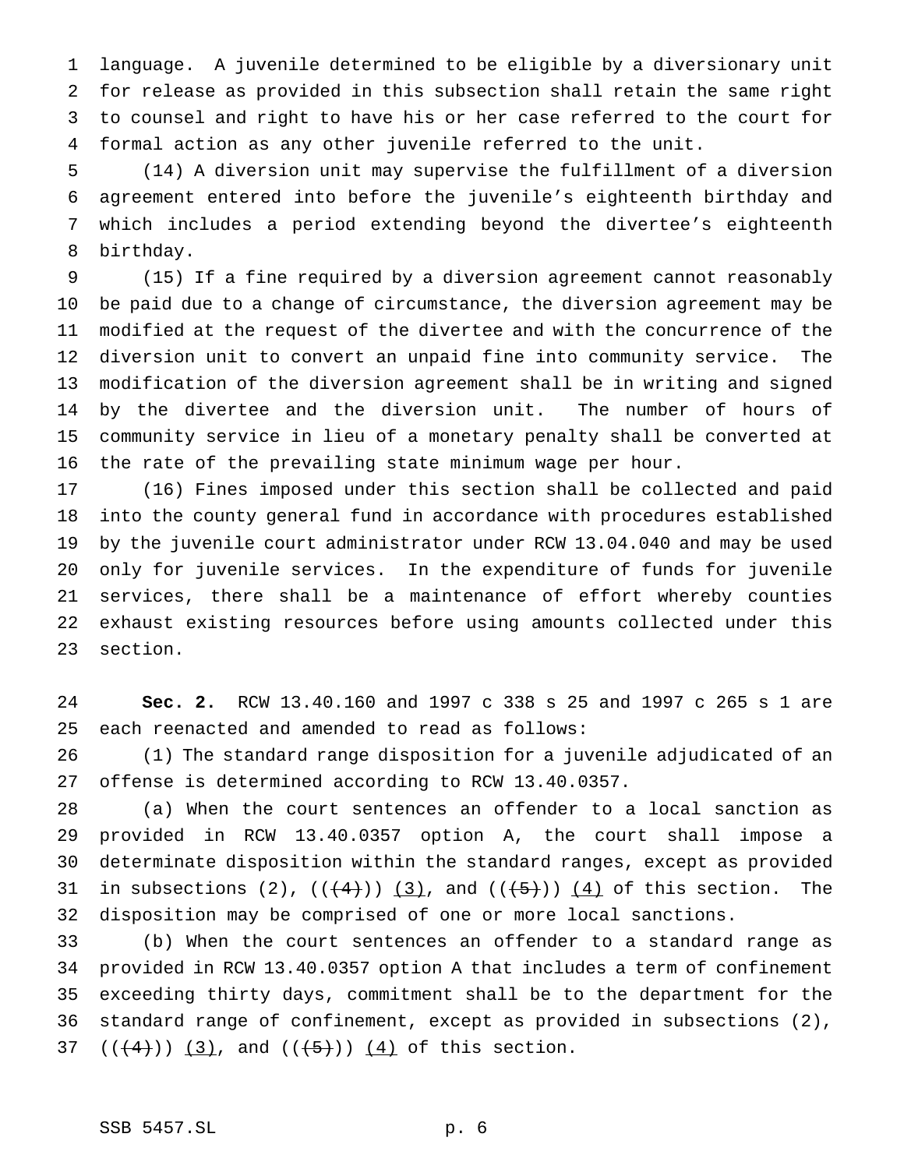language. A juvenile determined to be eligible by a diversionary unit for release as provided in this subsection shall retain the same right to counsel and right to have his or her case referred to the court for formal action as any other juvenile referred to the unit.

 (14) A diversion unit may supervise the fulfillment of a diversion agreement entered into before the juvenile's eighteenth birthday and which includes a period extending beyond the divertee's eighteenth birthday.

 (15) If a fine required by a diversion agreement cannot reasonably be paid due to a change of circumstance, the diversion agreement may be modified at the request of the divertee and with the concurrence of the diversion unit to convert an unpaid fine into community service. The modification of the diversion agreement shall be in writing and signed by the divertee and the diversion unit. The number of hours of community service in lieu of a monetary penalty shall be converted at the rate of the prevailing state minimum wage per hour.

 (16) Fines imposed under this section shall be collected and paid into the county general fund in accordance with procedures established by the juvenile court administrator under RCW 13.04.040 and may be used only for juvenile services. In the expenditure of funds for juvenile services, there shall be a maintenance of effort whereby counties exhaust existing resources before using amounts collected under this section.

 **Sec. 2.** RCW 13.40.160 and 1997 c 338 s 25 and 1997 c 265 s 1 are each reenacted and amended to read as follows:

 (1) The standard range disposition for a juvenile adjudicated of an offense is determined according to RCW 13.40.0357.

 (a) When the court sentences an offender to a local sanction as provided in RCW 13.40.0357 option A, the court shall impose a determinate disposition within the standard ranges, except as provided 31 in subsections (2),  $((+4))$  (3), and  $((+5))$  (4) of this section. The disposition may be comprised of one or more local sanctions.

 (b) When the court sentences an offender to a standard range as provided in RCW 13.40.0357 option A that includes a term of confinement exceeding thirty days, commitment shall be to the department for the standard range of confinement, except as provided in subsections (2),  $((+4))$   $(3)$ , and  $((+5))$   $(4)$  of this section.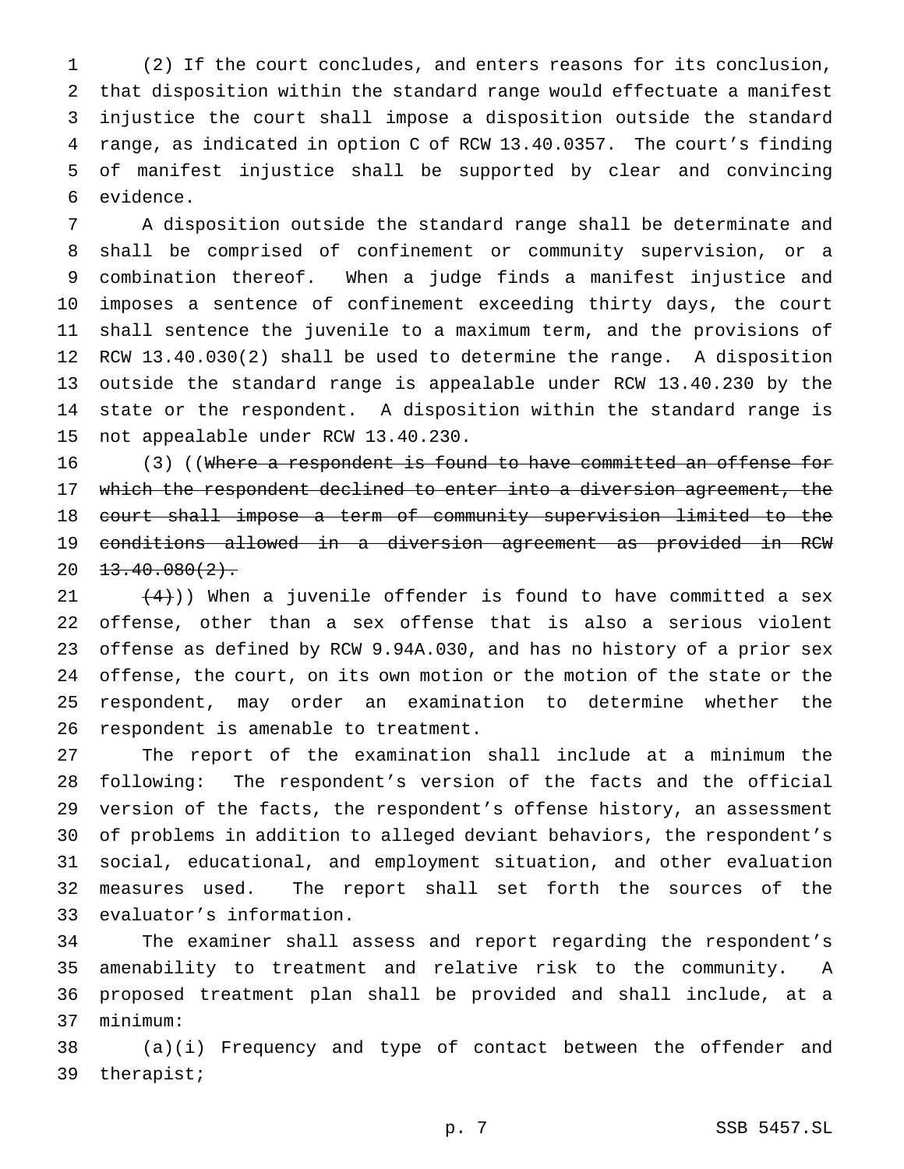(2) If the court concludes, and enters reasons for its conclusion, that disposition within the standard range would effectuate a manifest injustice the court shall impose a disposition outside the standard range, as indicated in option C of RCW 13.40.0357. The court's finding of manifest injustice shall be supported by clear and convincing evidence.

 A disposition outside the standard range shall be determinate and shall be comprised of confinement or community supervision, or a combination thereof. When a judge finds a manifest injustice and imposes a sentence of confinement exceeding thirty days, the court shall sentence the juvenile to a maximum term, and the provisions of RCW 13.40.030(2) shall be used to determine the range. A disposition outside the standard range is appealable under RCW 13.40.230 by the state or the respondent. A disposition within the standard range is not appealable under RCW 13.40.230.

16 (3) ((Where a respondent is found to have committed an offense for 17 which the respondent declined to enter into a diversion agreement, the court shall impose a term of community supervision limited to the conditions allowed in a diversion agreement as provided in RCW  $20 \quad 13.40.080(2)$ .

 $(4)$ )) When a juvenile offender is found to have committed a sex offense, other than a sex offense that is also a serious violent offense as defined by RCW 9.94A.030, and has no history of a prior sex offense, the court, on its own motion or the motion of the state or the respondent, may order an examination to determine whether the respondent is amenable to treatment.

 The report of the examination shall include at a minimum the following: The respondent's version of the facts and the official version of the facts, the respondent's offense history, an assessment of problems in addition to alleged deviant behaviors, the respondent's social, educational, and employment situation, and other evaluation measures used. The report shall set forth the sources of the evaluator's information.

 The examiner shall assess and report regarding the respondent's amenability to treatment and relative risk to the community. A proposed treatment plan shall be provided and shall include, at a minimum:

 (a)(i) Frequency and type of contact between the offender and therapist;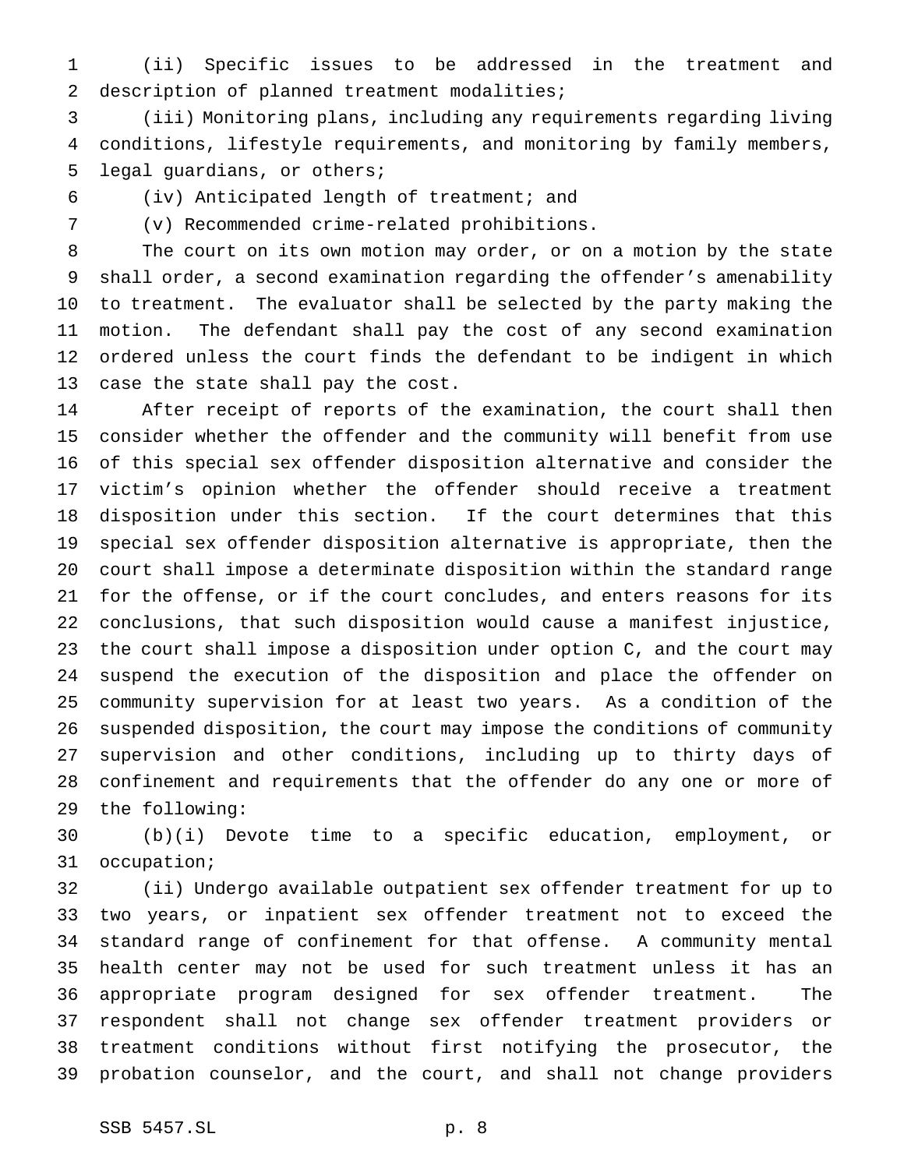(ii) Specific issues to be addressed in the treatment and 2 description of planned treatment modalities;

 (iii) Monitoring plans, including any requirements regarding living conditions, lifestyle requirements, and monitoring by family members, legal guardians, or others;

(iv) Anticipated length of treatment; and

(v) Recommended crime-related prohibitions.

 The court on its own motion may order, or on a motion by the state shall order, a second examination regarding the offender's amenability to treatment. The evaluator shall be selected by the party making the motion. The defendant shall pay the cost of any second examination ordered unless the court finds the defendant to be indigent in which case the state shall pay the cost.

 After receipt of reports of the examination, the court shall then consider whether the offender and the community will benefit from use of this special sex offender disposition alternative and consider the victim's opinion whether the offender should receive a treatment disposition under this section. If the court determines that this special sex offender disposition alternative is appropriate, then the court shall impose a determinate disposition within the standard range for the offense, or if the court concludes, and enters reasons for its conclusions, that such disposition would cause a manifest injustice, the court shall impose a disposition under option C, and the court may suspend the execution of the disposition and place the offender on community supervision for at least two years. As a condition of the suspended disposition, the court may impose the conditions of community supervision and other conditions, including up to thirty days of confinement and requirements that the offender do any one or more of the following:

 (b)(i) Devote time to a specific education, employment, or occupation;

 (ii) Undergo available outpatient sex offender treatment for up to two years, or inpatient sex offender treatment not to exceed the standard range of confinement for that offense. A community mental health center may not be used for such treatment unless it has an appropriate program designed for sex offender treatment. The respondent shall not change sex offender treatment providers or treatment conditions without first notifying the prosecutor, the probation counselor, and the court, and shall not change providers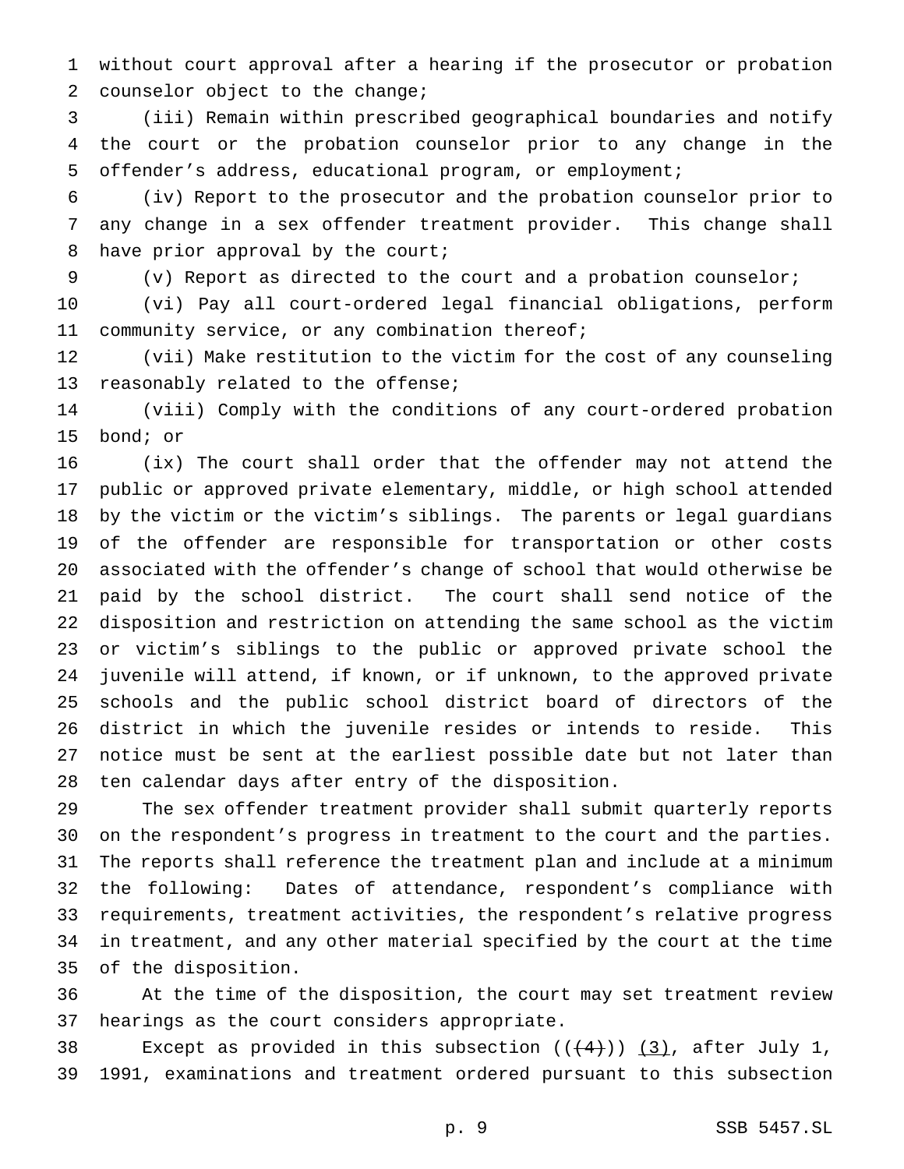without court approval after a hearing if the prosecutor or probation counselor object to the change;

 (iii) Remain within prescribed geographical boundaries and notify the court or the probation counselor prior to any change in the offender's address, educational program, or employment;

 (iv) Report to the prosecutor and the probation counselor prior to any change in a sex offender treatment provider. This change shall have prior approval by the court;

(v) Report as directed to the court and a probation counselor;

 (vi) Pay all court-ordered legal financial obligations, perform community service, or any combination thereof;

 (vii) Make restitution to the victim for the cost of any counseling reasonably related to the offense;

 (viii) Comply with the conditions of any court-ordered probation bond; or

 (ix) The court shall order that the offender may not attend the public or approved private elementary, middle, or high school attended by the victim or the victim's siblings. The parents or legal guardians of the offender are responsible for transportation or other costs associated with the offender's change of school that would otherwise be paid by the school district. The court shall send notice of the disposition and restriction on attending the same school as the victim or victim's siblings to the public or approved private school the juvenile will attend, if known, or if unknown, to the approved private schools and the public school district board of directors of the district in which the juvenile resides or intends to reside. This notice must be sent at the earliest possible date but not later than ten calendar days after entry of the disposition.

 The sex offender treatment provider shall submit quarterly reports on the respondent's progress in treatment to the court and the parties. The reports shall reference the treatment plan and include at a minimum the following: Dates of attendance, respondent's compliance with requirements, treatment activities, the respondent's relative progress in treatment, and any other material specified by the court at the time of the disposition.

 At the time of the disposition, the court may set treatment review hearings as the court considers appropriate.

38 Except as provided in this subsection  $((+4))$   $(3)$ , after July 1, 1991, examinations and treatment ordered pursuant to this subsection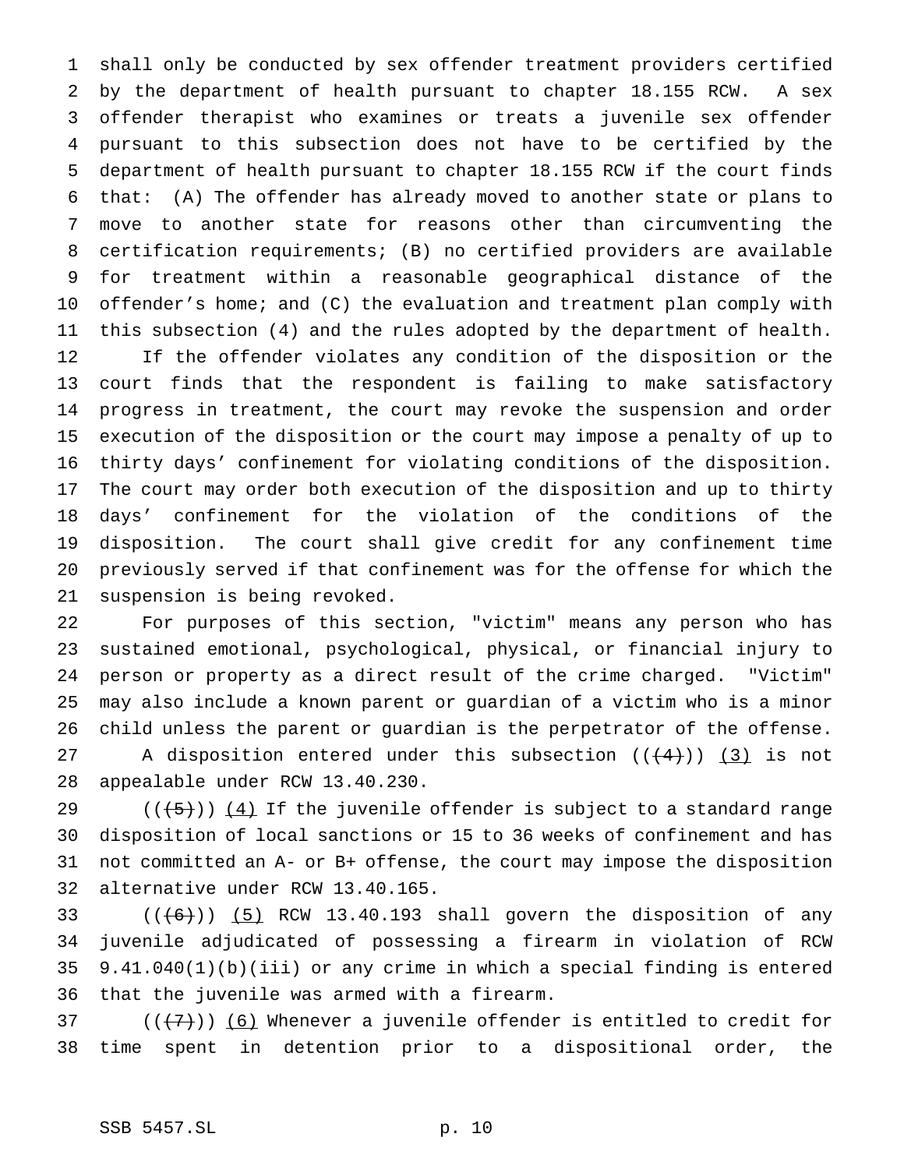shall only be conducted by sex offender treatment providers certified by the department of health pursuant to chapter 18.155 RCW. A sex offender therapist who examines or treats a juvenile sex offender pursuant to this subsection does not have to be certified by the department of health pursuant to chapter 18.155 RCW if the court finds that: (A) The offender has already moved to another state or plans to move to another state for reasons other than circumventing the certification requirements; (B) no certified providers are available for treatment within a reasonable geographical distance of the offender's home; and (C) the evaluation and treatment plan comply with this subsection (4) and the rules adopted by the department of health. If the offender violates any condition of the disposition or the court finds that the respondent is failing to make satisfactory progress in treatment, the court may revoke the suspension and order execution of the disposition or the court may impose a penalty of up to thirty days' confinement for violating conditions of the disposition. The court may order both execution of the disposition and up to thirty days' confinement for the violation of the conditions of the disposition. The court shall give credit for any confinement time previously served if that confinement was for the offense for which the suspension is being revoked.

 For purposes of this section, "victim" means any person who has sustained emotional, psychological, physical, or financial injury to person or property as a direct result of the crime charged. "Victim" may also include a known parent or guardian of a victim who is a minor child unless the parent or guardian is the perpetrator of the offense. 27 A disposition entered under this subsection  $((+4))$   $(3)$  is not appealable under RCW 13.40.230.

 $((+5))$   $(4)$  If the juvenile offender is subject to a standard range disposition of local sanctions or 15 to 36 weeks of confinement and has not committed an A- or B+ offense, the court may impose the disposition alternative under RCW 13.40.165.

 $((+6))$  (5) RCW 13.40.193 shall govern the disposition of any juvenile adjudicated of possessing a firearm in violation of RCW 9.41.040(1)(b)(iii) or any crime in which a special finding is entered that the juvenile was armed with a firearm.

37 ( $(\overline{+7})$ ) (6) Whenever a juvenile offender is entitled to credit for time spent in detention prior to a dispositional order, the